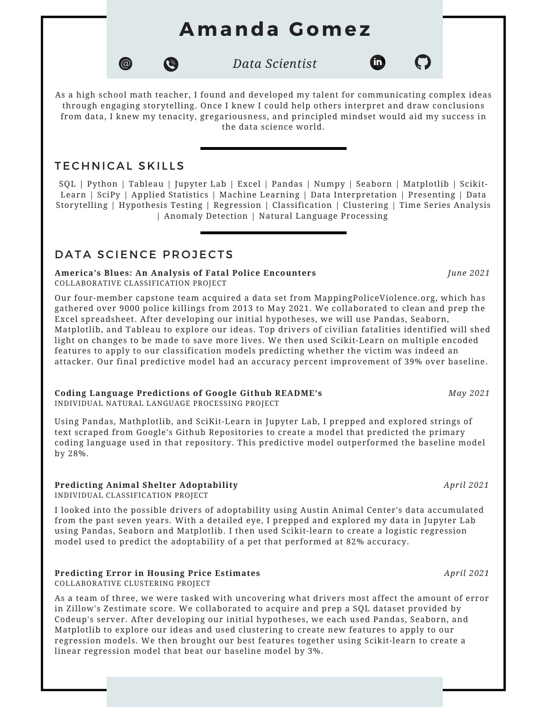# **Amanda G omez**

*Data Scientist*



fm)

As a high school math teacher, I found and developed my talent for communicating complex ideas through engaging storytelling. Once I knew I could help others interpret and draw conclusions from data, I knew my tenacity, gregariousness, and principled mindset would aid my success in the data science world.

## TECHNICAL SKILLS

 $\circledcirc$ 

SQL | Python | Tableau | Jupyter Lab | Excel | Pandas | Numpy | Seaborn | Matplotlib | Scikit-Learn | SciPy | Applied Statistics | Machine Learning | Data Interpretation | Presenting | Data Storytelling | Hypothesis Testing | Regression | Classification | Clustering | Time Series Analysis | Anomaly Detection | Natural Language Processing

## DATA SCIENCE PROJECTS

#### **America's Blues: An Analysis of Fatal Police Encounters** *June 2021* COLLABORATIVE CLASSIFICATION PROJECT

 $\bullet$ 

Our four-member capstone team acquired a data set from [MappingPoliceViolence.](http://mappingpoliceviolence.com/)org, which has gathered over 9000 police killings from 2013 to May 2021. We collaborated to clean and prep the Excel spreadsheet. After developing our initial hypotheses, we will use Pandas, Seaborn, Matplotlib, and Tableau to explore our ideas. Top drivers of civilian fatalities identified will shed light on changes to be made to save more lives. We then used Scikit-Learn on multiple encoded features to apply to our classification models predicting whether the victim was indeed an attacker. Our final predictive model had an accuracy percent improvement of 39% over baseline.

## **Coding Language Predictions of Google Github README's** *May 2021*

INDIVIDUAL NATURAL LANGUAGE PROCESSING PROJECT

Using Pandas, Mathplotlib, and SciKit-Learn in Jupyter Lab, I prepped and explored strings of text scraped from Google's Github Repositories to create a model that predicted the primary coding language used in that repository. This predictive model outperformed the baseline model by 28%.

#### **Predicting Animal Shelter Adoptability** *April 2021*

INDIVIDUAL CLASSIFICATION PROJECT

I looked into the possible drivers of adoptability using Austin Animal Center's data accumulated from the past seven years. With a detailed eye, I prepped and explored my data in Jupyter Lab using Pandas, Seaborn and Matplotlib. I then used Scikit-learn to create a logistic regression model used to predict the adoptability of a pet that performed at 82% accuracy.

#### **Predicting Error in Housing Price Estimates** *April 2021*

COLLABORATIVE CLUSTERING PROJECT

As a team of three, we were tasked with uncovering what drivers most affect the amount of error in Zillow's Zestimate score. We collaborated to acquire and prep a SQL dataset provided by Codeup's server. After developing our initial hypotheses, we each used Pandas, Seaborn, and Matplotlib to explore our ideas and used clustering to create new features to apply to our regression models. We then brought our best features together using Scikit-learn to create a linear regression model that beat our baseline model by 3%.